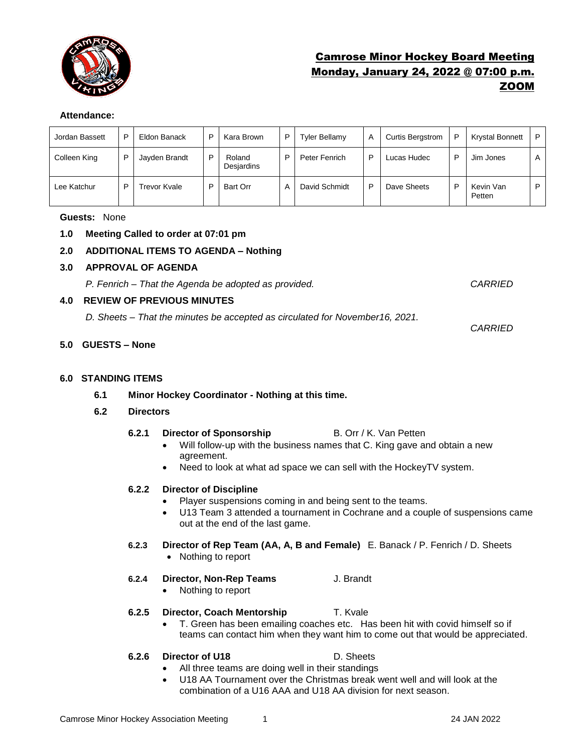

# Camrose Minor Hockey Board Meeting Monday, January 24, 2022 @ 07:00 p.m. ZOOM

# **Attendance:**

| Jordan Bassett | D | Eldon Banack  | P | Kara Brown           | D | Tyler Bellamy | A | <b>Curtis Bergstrom</b> | P | <b>Krystal Bonnett</b> | P |
|----------------|---|---------------|---|----------------------|---|---------------|---|-------------------------|---|------------------------|---|
| Colleen King   | D | Jayden Brandt | P | Roland<br>Desjardins | D | Peter Fenrich | P | Lucas Hudec             | D | Jim Jones              | A |
| Lee Katchur    | D | Trevor Kvale  | D | <b>Bart Orr</b>      | А | David Schmidt | D | Dave Sheets             | P | Kevin Van<br>Petten    | P |

### **Guests:** None

# **1.0 Meeting Called to order at 07:01 pm**

# **2.0 ADDITIONAL ITEMS TO AGENDA – Nothing**

# **3.0 APPROVAL OF AGENDA**

*P. Fenrich – That the Agenda be adopted as provided. CARRIED*

*CARRIED*

### **4.0 REVIEW OF PREVIOUS MINUTES**

*D. Sheets – That the minutes be accepted as circulated for November16, 2021.* 

# **5.0 GUESTS – None**

## **6.0 STANDING ITEMS**

**6.1 Minor Hockey Coordinator - Nothing at this time.** 

### **6.2 Directors**

- **6.2.1 Director of Sponsorship** B. Orr / K. Van Petten
	- Will follow-up with the business names that C. King gave and obtain a new agreement.
	- Need to look at what ad space we can sell with the HockeyTV system.

# **6.2.2 Director of Discipline**

- Player suspensions coming in and being sent to the teams.
- U13 Team 3 attended a tournament in Cochrane and a couple of suspensions came out at the end of the last game.
- **6.2.3 Director of Rep Team (AA, A, B and Female)** E. Banack / P. Fenrich / D. Sheets
	- Nothing to report
- **6.2.4 Director, Non-Rep Teams** J. Brandt
	- Nothing to report

# **6.2.5 Director, Coach Mentorship T. Kvale**

• T. Green has been emailing coaches etc. Has been hit with covid himself so if teams can contact him when they want him to come out that would be appreciated.

### **6.2.6 Director of U18** D. Sheets

# All three teams are doing well in their standings

• U18 AA Tournament over the Christmas break went well and will look at the combination of a U16 AAA and U18 AA division for next season.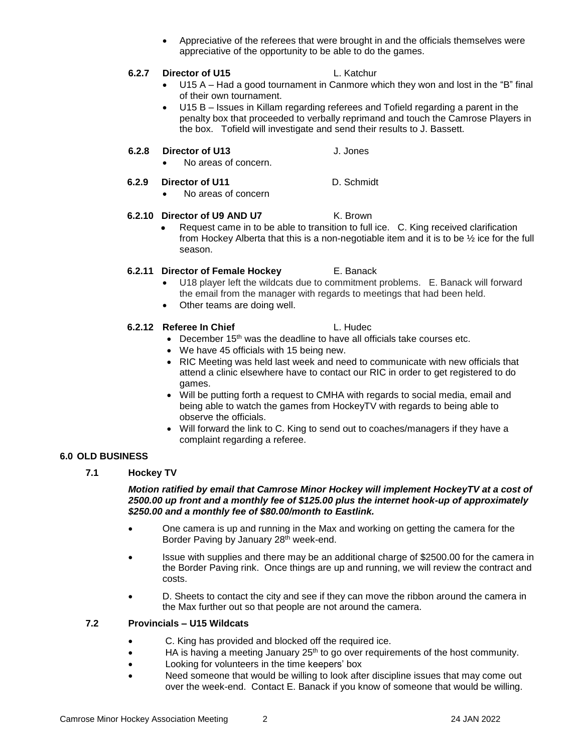• Appreciative of the referees that were brought in and the officials themselves were appreciative of the opportunity to be able to do the games.

# **6.2.7 Director of U15** L. Katchur

- U15 A Had a good tournament in Canmore which they won and lost in the "B" final of their own tournament.
- U15 B Issues in Killam regarding referees and Tofield regarding a parent in the penalty box that proceeded to verbally reprimand and touch the Camrose Players in the box. Tofield will investigate and send their results to J. Bassett.

# **6.2.8 Director of U13** J. Jones

• No areas of concern.

# **6.2.9 Director of U11** D. Schmidt

• No areas of concern

### **6.2.10 Director of U9 AND U7** K. Brown

• Request came in to be able to transition to full ice. C. King received clarification from Hockey Alberta that this is a non-negotiable item and it is to be  $\frac{1}{2}$  ice for the full season.

# **6.2.11 Director of Female Hockey** E. Banack

- U18 player left the wildcats due to commitment problems. E. Banack will forward the email from the manager with regards to meetings that had been held.
- Other teams are doing well.

# **6.2.12 Referee In Chief L. Hudec.**

- December  $15<sup>th</sup>$  was the deadline to have all officials take courses etc. • We have 45 officials with 15 being new.
- RIC Meeting was held last week and need to communicate with new officials that attend a clinic elsewhere have to contact our RIC in order to get registered to do games.
- Will be putting forth a request to CMHA with regards to social media, email and being able to watch the games from HockeyTV with regards to being able to observe the officials.
- Will forward the link to C. King to send out to coaches/managers if they have a complaint regarding a referee.

# **6.0 OLD BUSINESS**

# **7.1 Hockey TV**

### *Motion ratified by email that Camrose Minor Hockey will implement HockeyTV at a cost of 2500.00 up front and a monthly fee of \$125.00 plus the internet hook-up of approximately \$250.00 and a monthly fee of \$80.00/month to Eastlink.*

- One camera is up and running in the Max and working on getting the camera for the Border Paving by January 28<sup>th</sup> week-end.
- Issue with supplies and there may be an additional charge of \$2500.00 for the camera in the Border Paving rink. Once things are up and running, we will review the contract and costs.
- D. Sheets to contact the city and see if they can move the ribbon around the camera in the Max further out so that people are not around the camera.

### **7.2 Provincials – U15 Wildcats**

- C. King has provided and blocked off the required ice.
- HA is having a meeting January 25<sup>th</sup> to go over requirements of the host community.
- Looking for volunteers in the time keepers' box
- Need someone that would be willing to look after discipline issues that may come out over the week-end. Contact E. Banack if you know of someone that would be willing.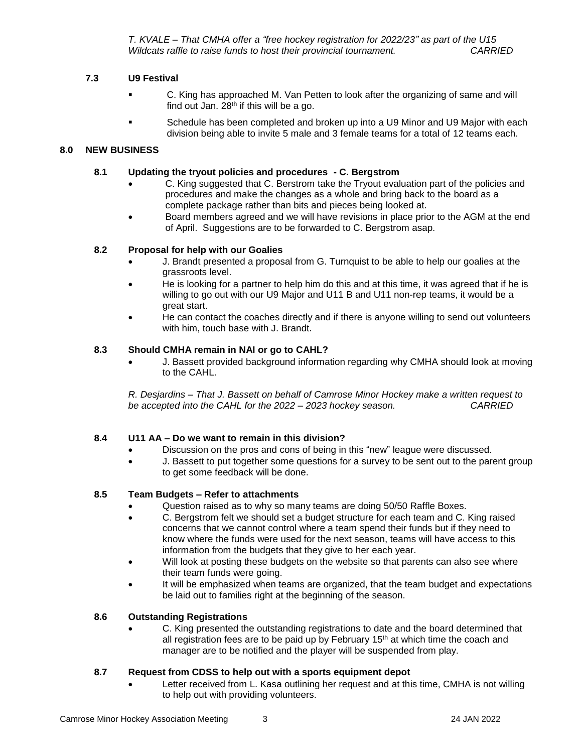*T. KVALE – That CMHA offer a "free hockey registration for 2022/23" as part of the U15 Wildcats raffle to raise funds to host their provincial tournament. CARRIED*

## **7.3 U9 Festival**

- C. King has approached M. Van Petten to look after the organizing of same and will find out Jan.  $28<sup>th</sup>$  if this will be a go.
- Schedule has been completed and broken up into a U9 Minor and U9 Major with each division being able to invite 5 male and 3 female teams for a total of 12 teams each.

## **8.0 NEW BUSINESS**

### **8.1 Updating the tryout policies and procedures - C. Bergstrom**

- C. King suggested that C. Berstrom take the Tryout evaluation part of the policies and procedures and make the changes as a whole and bring back to the board as a complete package rather than bits and pieces being looked at.
- Board members agreed and we will have revisions in place prior to the AGM at the end of April. Suggestions are to be forwarded to C. Bergstrom asap.

### **8.2 Proposal for help with our Goalies**

- J. Brandt presented a proposal from G. Turnquist to be able to help our goalies at the grassroots level.
- He is looking for a partner to help him do this and at this time, it was agreed that if he is willing to go out with our U9 Major and U11 B and U11 non-rep teams, it would be a great start.
- He can contact the coaches directly and if there is anyone willing to send out volunteers with him, touch base with J. Brandt.

### **8.3 Should CMHA remain in NAI or go to CAHL?**

• J. Bassett provided background information regarding why CMHA should look at moving to the CAHL.

*R. Desjardins – That J. Bassett on behalf of Camrose Minor Hockey make a written request to be accepted into the CAHL for the 2022 – 2023 hockey season. CARRIED* 

### **8.4 U11 AA – Do we want to remain in this division?**

- Discussion on the pros and cons of being in this "new" league were discussed.
- J. Bassett to put together some questions for a survey to be sent out to the parent group to get some feedback will be done.

### **8.5 Team Budgets – Refer to attachments**

- Question raised as to why so many teams are doing 50/50 Raffle Boxes.
- C. Bergstrom felt we should set a budget structure for each team and C. King raised concerns that we cannot control where a team spend their funds but if they need to know where the funds were used for the next season, teams will have access to this information from the budgets that they give to her each year.
- Will look at posting these budgets on the website so that parents can also see where their team funds were going.
- It will be emphasized when teams are organized, that the team budget and expectations be laid out to families right at the beginning of the season.

### **8.6 Outstanding Registrations**

• C. King presented the outstanding registrations to date and the board determined that all registration fees are to be paid up by February  $15<sup>th</sup>$  at which time the coach and manager are to be notified and the player will be suspended from play.

### **8.7 Request from CDSS to help out with a sports equipment depot**

• Letter received from L. Kasa outlining her request and at this time, CMHA is not willing to help out with providing volunteers.